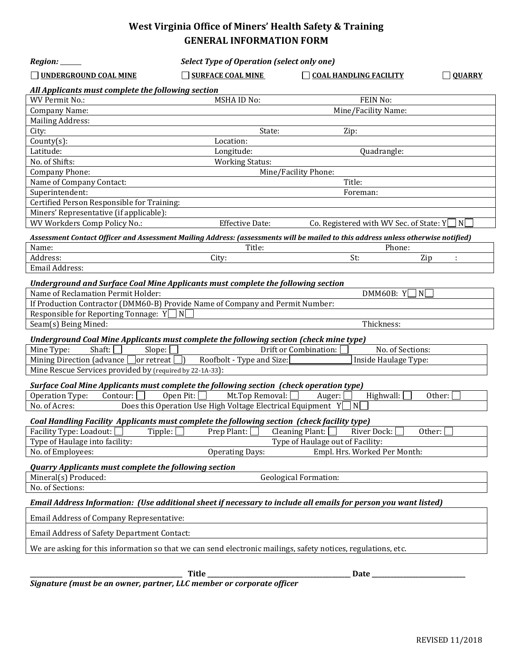# **West Virginia Office of Miners' Health Safety & Training GENERAL INFORMATION FORM**

| Region: ______                                                                                                                    | <b>Select Type of Operation (select only one)</b>           |                                                  |               |
|-----------------------------------------------------------------------------------------------------------------------------------|-------------------------------------------------------------|--------------------------------------------------|---------------|
| UNDERGROUND COAL MINE                                                                                                             | <b>SURFACE COAL MINE</b><br>$\blacksquare$                  | <b>COAL HANDLING FACILITY</b>                    | <b>OUARRY</b> |
| All Applicants must complete the following section                                                                                |                                                             |                                                  |               |
| WV Permit No.:                                                                                                                    | <b>MSHA ID No:</b>                                          | FEIN No:                                         |               |
| <b>Company Name:</b>                                                                                                              |                                                             | Mine/Facility Name:                              |               |
| <b>Mailing Address:</b>                                                                                                           |                                                             |                                                  |               |
| City:                                                                                                                             | State:                                                      | Zip:                                             |               |
| $Country(s)$ :                                                                                                                    | Location:                                                   |                                                  |               |
| Latitude:                                                                                                                         | Longitude:                                                  | Quadrangle:                                      |               |
| No. of Shifts:                                                                                                                    | <b>Working Status:</b>                                      |                                                  |               |
| Company Phone:                                                                                                                    |                                                             | Mine/Facility Phone:                             |               |
| Name of Company Contact:                                                                                                          |                                                             | Title:                                           |               |
| Superintendent:                                                                                                                   |                                                             | Foreman:                                         |               |
| Certified Person Responsible for Training:                                                                                        |                                                             |                                                  |               |
| Miners' Representative (if applicable):                                                                                           |                                                             |                                                  |               |
| <b>WV Workders Comp Policy No.:</b>                                                                                               | <b>Effective Date:</b>                                      | Co. Registered with WV Sec. of State: $Y \cap N$ |               |
| Assessment Contact Officer and Assessment Mailing Address: (assessments will be mailed to this address unless otherwise notified) |                                                             |                                                  |               |
| Name:                                                                                                                             | Title:                                                      | Phone:                                           |               |
| Address:                                                                                                                          | City:                                                       | St:<br>Zip                                       | ÷             |
| Email Address:                                                                                                                    |                                                             |                                                  |               |
| Underground and Surface Coal Mine Applicants must complete the following section<br>Name of Reclamation Permit Holder:            |                                                             |                                                  |               |
|                                                                                                                                   |                                                             | DMM60B: $Y$<br>ן N                               |               |
| If Production Contractor (DMM60-B) Provide Name of Company and Permit Number:                                                     |                                                             |                                                  |               |
| Responsible for Reporting Tonnage: $Y \cap N$<br>Seam(s) Being Mined:                                                             |                                                             | Thickness:                                       |               |
|                                                                                                                                   |                                                             |                                                  |               |
| Underground Coal Mine Applicants must complete the following section (check mine type)                                            |                                                             |                                                  |               |
| Shaft:<br>Mine Type:<br>Slope:                                                                                                    |                                                             | Drift or Combination:<br>No. of Sections:        |               |
| Mining Direction (advance □ or retreat [                                                                                          | Roofbolt - Type and Size:<br>$\Box$                         | Inside Haulage Type:                             |               |
| Mine Rescue Services provided by (required by 22-1A-33):                                                                          |                                                             |                                                  |               |
| Surface Coal Mine Applicants must complete the following section (check operation type)                                           |                                                             |                                                  |               |
| Contour:<br>Operation Type:                                                                                                       | Mt.Top Removal: [<br>Open Pit:                              | Highwall:<br>Auger:                              | Other:        |
| No. of Acres:                                                                                                                     | Does this Operation Use High Voltage Electrical Equipment Y | N                                                |               |
|                                                                                                                                   |                                                             |                                                  |               |
| Coal Handling Facility Applicants must complete the following section (check facility type)                                       |                                                             |                                                  |               |
| Facility Type: Loadout: [<br>Tipple:                                                                                              | Prep Plant:                                                 | Cleaning Plant:<br>Other:<br>River Dock:         |               |
| Type of Haulage into facility:                                                                                                    |                                                             | Type of Haulage out of Facility:                 |               |
| No. of Employees:                                                                                                                 | <b>Operating Days:</b>                                      | Empl. Hrs. Worked Per Month:                     |               |
| <b>Quarry Applicants must complete the following section</b>                                                                      |                                                             |                                                  |               |
| Mineral(s) Produced:                                                                                                              |                                                             | <b>Geological Formation:</b>                     |               |
| No. of Sections:                                                                                                                  |                                                             |                                                  |               |
| Email Address Information: (Use additional sheet if necessary to include all emails for person you want listed)                   |                                                             |                                                  |               |
| <b>Email Address of Company Representative:</b>                                                                                   |                                                             |                                                  |               |
| Email Address of Safety Department Contact:                                                                                       |                                                             |                                                  |               |
| We are asking for this information so that we can send electronic mailings, safety notices, regulations, etc.                     |                                                             |                                                  |               |
|                                                                                                                                   |                                                             |                                                  |               |
|                                                                                                                                   | Title                                                       | Date                                             |               |

*Signature (must be an owner, partner, LLC member or corporate officer*